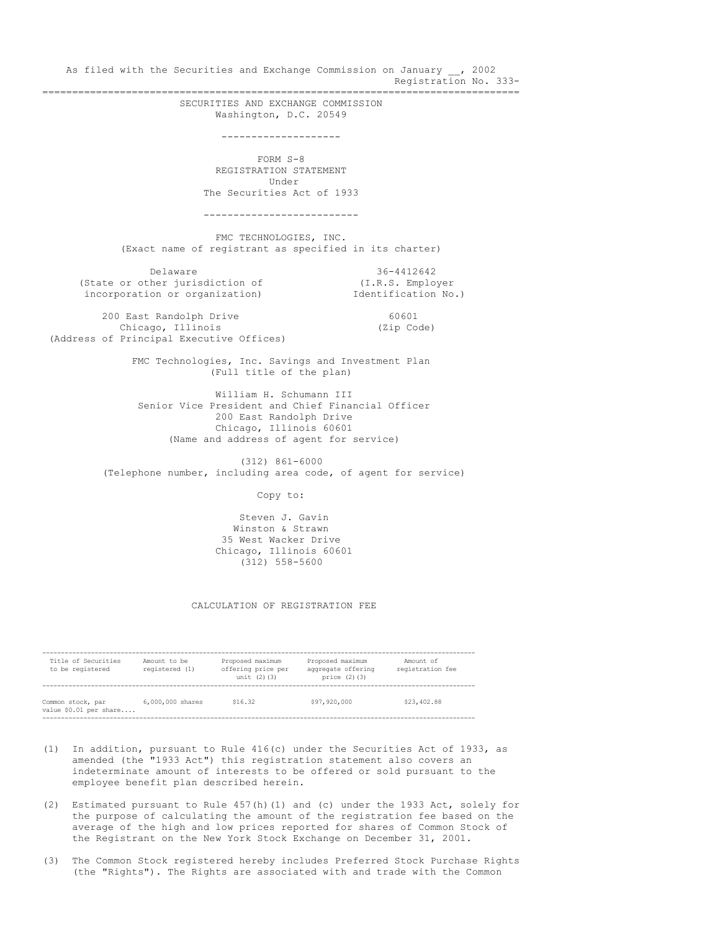As filed with the Securities and Exchange Commission on January , 2002 Registration No. 333-================================================================================ SECURITIES AND EXCHANGE COMMISSION Washington, D.C. 20549 -------------------- FORM S-8 REGISTRATION STATEMENT Under The Securities Act of 1933 -------------------------- FMC TECHNOLOGIES, INC. (Exact name of registrant as specified in its charter) Delaware 36-4412642 (State or other jurisdiction of (I.R.S. Employer incorporation or organization) Identification No.) 200 East Randolph Drive 60601 Chicago, Illinois (Zip Code) (Address of Principal Executive Offices) FMC Technologies, Inc. Savings and Investment Plan (Full title of the plan) William H. Schumann III Senior Vice President and Chief Financial Officer 200 East Randolph Drive Chicago, Illinois 60601 (Name and address of agent for service) (312) 861-6000 (Telephone number, including area code, of agent for service) Copy to: Steven J. Gavin Winston & Strawn 35 West Wacker Drive Chicago, Illinois 60601 (312) 558-5600 CALCULATION OF REGISTRATION FEE --------------------------------------------------------------------------------------------------------------------

| Title of Securities<br>to be registered     | Amount to be<br>registered (1) | Proposed maximum<br>offering price per<br>unit (2) (3) | Proposed maximum<br>aggregate offering<br>price $(2)$ $(3)$ | Amount of<br>reqistration fee |
|---------------------------------------------|--------------------------------|--------------------------------------------------------|-------------------------------------------------------------|-------------------------------|
| Common stock, par<br>value \$0.01 per share | $6.000.000$ shares             | \$16.32                                                | \$97,920,000                                                | \$23,402.88                   |

- (1) In addition, pursuant to Rule 416(c) under the Securities Act of 1933, as amended (the "1933 Act") this registration statement also covers an indeterminate amount of interests to be offered or sold pursuant to the employee benefit plan described herein.
- (2) Estimated pursuant to Rule 457(h)(1) and (c) under the 1933 Act, solely for the purpose of calculating the amount of the registration fee based on the average of the high and low prices reported for shares of Common Stock of the Registrant on the New York Stock Exchange on December 31, 2001.
- (3) The Common Stock registered hereby includes Preferred Stock Purchase Rights (the "Rights"). The Rights are associated with and trade with the Common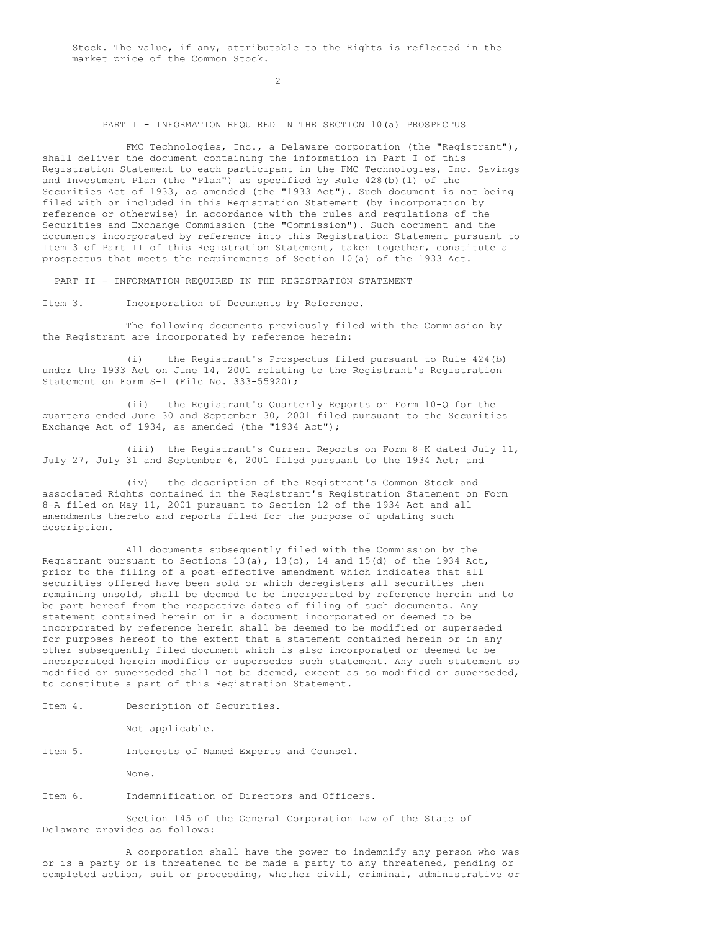Stock. The value, if any, attributable to the Rights is reflected in the market price of the Common Stock.

 $\mathfrak{2}$ 

## PART I - INFORMATION REQUIRED IN THE SECTION 10(a) PROSPECTUS

FMC Technologies, Inc., a Delaware corporation (the "Registrant"), shall deliver the document containing the information in Part I of this Registration Statement to each participant in the FMC Technologies, Inc. Savings and Investment Plan (the "Plan") as specified by Rule 428(b)(1) of the Securities Act of 1933, as amended (the "1933 Act"). Such document is not being filed with or included in this Registration Statement (by incorporation by reference or otherwise) in accordance with the rules and regulations of the Securities and Exchange Commission (the "Commission"). Such document and the documents incorporated by reference into this Registration Statement pursuant to Item 3 of Part II of this Registration Statement, taken together, constitute a prospectus that meets the requirements of Section 10(a) of the 1933 Act.

PART II - INFORMATION REQUIRED IN THE REGISTRATION STATEMENT

Item 3. Incorporation of Documents by Reference.

The following documents previously filed with the Commission by the Registrant are incorporated by reference herein:

(i) the Registrant's Prospectus filed pursuant to Rule 424(b) under the 1933 Act on June 14, 2001 relating to the Registrant's Registration Statement on Form S-1 (File No. 333-55920);

(ii) the Registrant's Quarterly Reports on Form 10-Q for the quarters ended June 30 and September 30, 2001 filed pursuant to the Securities Exchange Act of 1934, as amended (the "1934 Act");

(iii) the Registrant's Current Reports on Form 8-K dated July 11, July 27, July 31 and September 6, 2001 filed pursuant to the 1934 Act; and

(iv) the description of the Registrant's Common Stock and associated Rights contained in the Registrant's Registration Statement on Form 8-A filed on May 11, 2001 pursuant to Section 12 of the 1934 Act and all amendments thereto and reports filed for the purpose of updating such description.

All documents subsequently filed with the Commission by the Registrant pursuant to Sections  $13(a)$ ,  $13(c)$ ,  $14$  and  $15(d)$  of the 1934 Act, prior to the filing of a post-effective amendment which indicates that all securities offered have been sold or which deregisters all securities then remaining unsold, shall be deemed to be incorporated by reference herein and to be part hereof from the respective dates of filing of such documents. Any statement contained herein or in a document incorporated or deemed to be incorporated by reference herein shall be deemed to be modified or superseded for purposes hereof to the extent that a statement contained herein or in any other subsequently filed document which is also incorporated or deemed to be incorporated herein modifies or supersedes such statement. Any such statement so modified or superseded shall not be deemed, except as so modified or superseded, to constitute a part of this Registration Statement.

Item 4. Description of Securities.

Not applicable.

Item 5. Interests of Named Experts and Counsel.

None.

Item 6. Indemnification of Directors and Officers.

Section 145 of the General Corporation Law of the State of Delaware provides as follows:

A corporation shall have the power to indemnify any person who was or is a party or is threatened to be made a party to any threatened, pending or completed action, suit or proceeding, whether civil, criminal, administrative or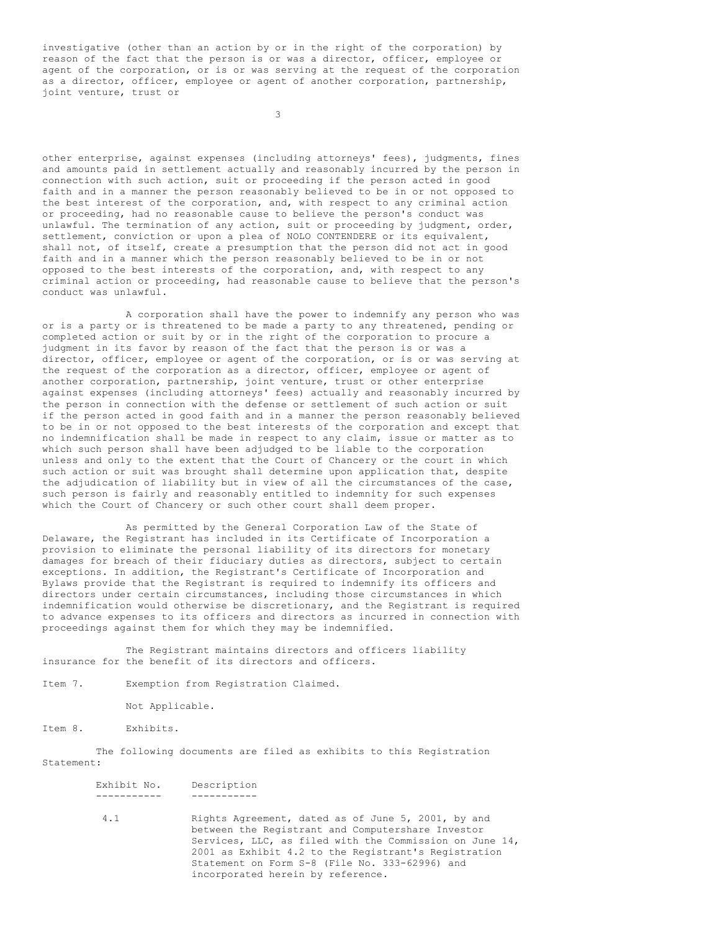investigative (other than an action by or in the right of the corporation) by reason of the fact that the person is or was a director, officer, employee or agent of the corporation, or is or was serving at the request of the corporation as a director, officer, employee or agent of another corporation, partnership, joint venture, trust or

3

other enterprise, against expenses (including attorneys' fees), judgments, fines and amounts paid in settlement actually and reasonably incurred by the person in connection with such action, suit or proceeding if the person acted in good faith and in a manner the person reasonably believed to be in or not opposed to the best interest of the corporation, and, with respect to any criminal action or proceeding, had no reasonable cause to believe the person's conduct was unlawful. The termination of any action, suit or proceeding by judgment, order, settlement, conviction or upon a plea of NOLO CONTENDERE or its equivalent, shall not, of itself, create a presumption that the person did not act in good faith and in a manner which the person reasonably believed to be in or not opposed to the best interests of the corporation, and, with respect to any criminal action or proceeding, had reasonable cause to believe that the person's conduct was unlawful.

A corporation shall have the power to indemnify any person who was or is a party or is threatened to be made a party to any threatened, pending or completed action or suit by or in the right of the corporation to procure a judgment in its favor by reason of the fact that the person is or was a director, officer, employee or agent of the corporation, or is or was serving at the request of the corporation as a director, officer, employee or agent of another corporation, partnership, joint venture, trust or other enterprise against expenses (including attorneys' fees) actually and reasonably incurred by the person in connection with the defense or settlement of such action or suit if the person acted in good faith and in a manner the person reasonably believed to be in or not opposed to the best interests of the corporation and except that no indemnification shall be made in respect to any claim, issue or matter as to which such person shall have been adjudged to be liable to the corporation unless and only to the extent that the Court of Chancery or the court in which such action or suit was brought shall determine upon application that, despite the adjudication of liability but in view of all the circumstances of the case, such person is fairly and reasonably entitled to indemnity for such expenses which the Court of Chancery or such other court shall deem proper.

As permitted by the General Corporation Law of the State of Delaware, the Registrant has included in its Certificate of Incorporation a provision to eliminate the personal liability of its directors for monetary damages for breach of their fiduciary duties as directors, subject to certain exceptions. In addition, the Registrant's Certificate of Incorporation and Bylaws provide that the Registrant is required to indemnify its officers and directors under certain circumstances, including those circumstances in which indemnification would otherwise be discretionary, and the Registrant is required to advance expenses to its officers and directors as incurred in connection with proceedings against them for which they may be indemnified.

The Registrant maintains directors and officers liability insurance for the benefit of its directors and officers.

Item 7. Exemption from Registration Claimed.

Not Applicable.

Item 8. Exhibits.

The following documents are filed as exhibits to this Registration Statement:

| Exhibit No. | Description |
|-------------|-------------|
|             |             |

4.1 Rights Agreement, dated as of June 5, 2001, by and between the Registrant and Computershare Investor Services, LLC, as filed with the Commission on June 14, 2001 as Exhibit 4.2 to the Registrant's Registration Statement on Form S-8 (File No. 333-62996) and incorporated herein by reference.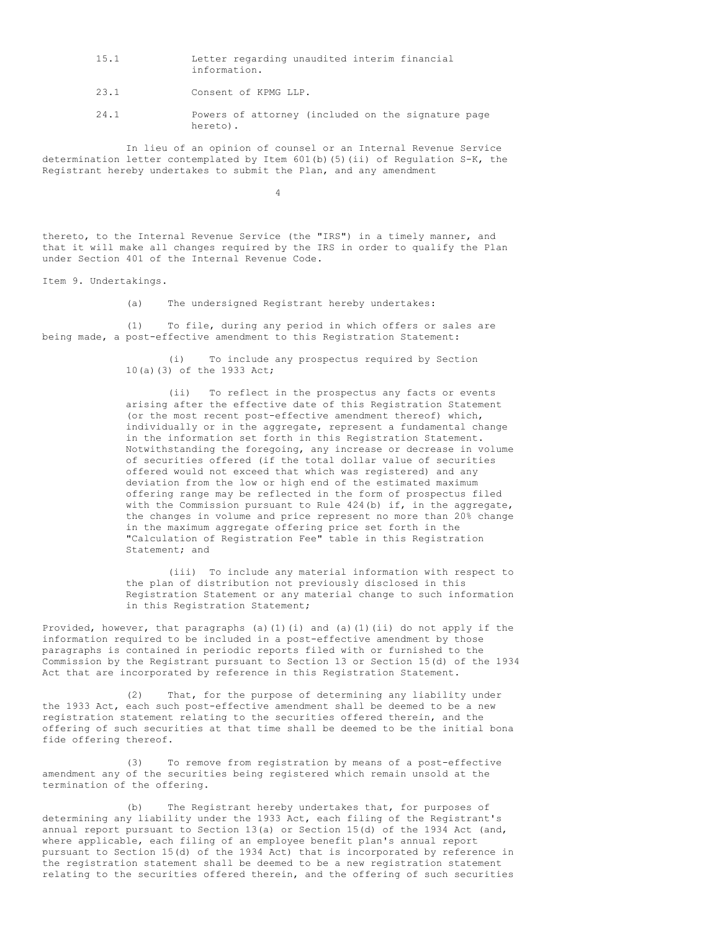- 15.1 Letter regarding unaudited interim financial information.
- 23.1 Consent of KPMG LLP.
- 24.1 Powers of attorney (included on the signature page hereto).

In lieu of an opinion of counsel or an Internal Revenue Service determination letter contemplated by Item 601(b)(5)(ii) of Regulation S-K, the Registrant hereby undertakes to submit the Plan, and any amendment

4

thereto, to the Internal Revenue Service (the "IRS") in a timely manner, and that it will make all changes required by the IRS in order to qualify the Plan under Section 401 of the Internal Revenue Code.

Item 9. Undertakings.

(a) The undersigned Registrant hereby undertakes:

(1) To file, during any period in which offers or sales are being made, a post-effective amendment to this Registration Statement:

> (i) To include any prospectus required by Section 10(a)(3) of the 1933 Act;

(ii) To reflect in the prospectus any facts or events arising after the effective date of this Registration Statement (or the most recent post-effective amendment thereof) which, individually or in the aggregate, represent a fundamental change in the information set forth in this Registration Statement. Notwithstanding the foregoing, any increase or decrease in volume of securities offered (if the total dollar value of securities offered would not exceed that which was registered) and any deviation from the low or high end of the estimated maximum offering range may be reflected in the form of prospectus filed with the Commission pursuant to Rule 424(b) if, in the aggregate, the changes in volume and price represent no more than 20% change in the maximum aggregate offering price set forth in the "Calculation of Registration Fee" table in this Registration Statement; and

(iii) To include any material information with respect to the plan of distribution not previously disclosed in this Registration Statement or any material change to such information in this Registration Statement;

Provided, however, that paragraphs (a)(1)(i) and (a)(1)(ii) do not apply if the information required to be included in a post-effective amendment by those paragraphs is contained in periodic reports filed with or furnished to the Commission by the Registrant pursuant to Section 13 or Section 15(d) of the 1934 Act that are incorporated by reference in this Registration Statement.

(2) That, for the purpose of determining any liability under the 1933 Act, each such post-effective amendment shall be deemed to be a new registration statement relating to the securities offered therein, and the offering of such securities at that time shall be deemed to be the initial bona fide offering thereof.

(3) To remove from registration by means of a post-effective amendment any of the securities being registered which remain unsold at the termination of the offering.

(b) The Registrant hereby undertakes that, for purposes of determining any liability under the 1933 Act, each filing of the Registrant's annual report pursuant to Section 13(a) or Section 15(d) of the 1934 Act (and, where applicable, each filing of an employee benefit plan's annual report pursuant to Section 15(d) of the 1934 Act) that is incorporated by reference in the registration statement shall be deemed to be a new registration statement relating to the securities offered therein, and the offering of such securities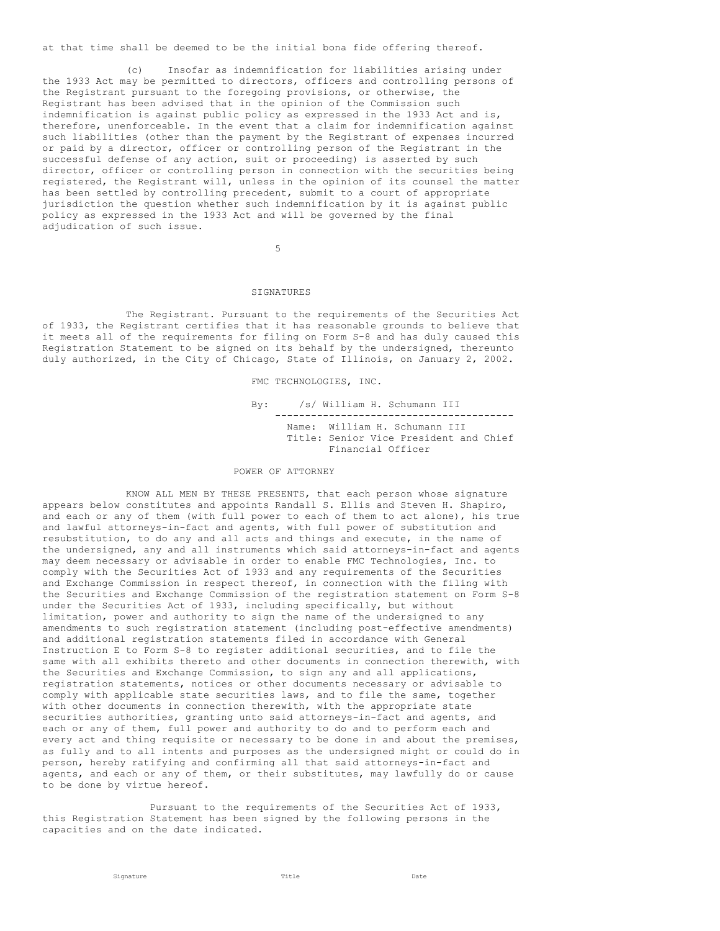at that time shall be deemed to be the initial bona fide offering thereof.

(c) Insofar as indemnification for liabilities arising under the 1933 Act may be permitted to directors, officers and controlling persons of the Registrant pursuant to the foregoing provisions, or otherwise, the Registrant has been advised that in the opinion of the Commission such indemnification is against public policy as expressed in the 1933 Act and is, therefore, unenforceable. In the event that a claim for indemnification against such liabilities (other than the payment by the Registrant of expenses incurred or paid by a director, officer or controlling person of the Registrant in the successful defense of any action, suit or proceeding) is asserted by such director, officer or controlling person in connection with the securities being registered, the Registrant will, unless in the opinion of its counsel the matter has been settled by controlling precedent, submit to a court of appropriate jurisdiction the question whether such indemnification by it is against public policy as expressed in the 1933 Act and will be governed by the final adjudication of such issue.

5

## SIGNATURES

The Registrant. Pursuant to the requirements of the Securities Act of 1933, the Registrant certifies that it has reasonable grounds to believe that it meets all of the requirements for filing on Form S-8 and has duly caused this Registration Statement to be signed on its behalf by the undersigned, thereunto duly authorized, in the City of Chicago, State of Illinois, on January 2, 2002.

## FMC TECHNOLOGIES, INC.

By: /s/ William H. Schumann III ---------------------------------------- Name: William H. Schumann III Title: Senior Vice President and Chief Financial Officer

## POWER OF ATTORNEY

KNOW ALL MEN BY THESE PRESENTS, that each person whose signature appears below constitutes and appoints Randall S. Ellis and Steven H. Shapiro, and each or any of them (with full power to each of them to act alone), his true and lawful attorneys-in-fact and agents, with full power of substitution and resubstitution, to do any and all acts and things and execute, in the name of the undersigned, any and all instruments which said attorneys-in-fact and agents may deem necessary or advisable in order to enable FMC Technologies, Inc. to comply with the Securities Act of 1933 and any requirements of the Securities and Exchange Commission in respect thereof, in connection with the filing with the Securities and Exchange Commission of the registration statement on Form S-8 under the Securities Act of 1933, including specifically, but without limitation, power and authority to sign the name of the undersigned to any amendments to such registration statement (including post-effective amendments) and additional registration statements filed in accordance with General Instruction E to Form S-8 to register additional securities, and to file the same with all exhibits thereto and other documents in connection therewith, with the Securities and Exchange Commission, to sign any and all applications, registration statements, notices or other documents necessary or advisable to comply with applicable state securities laws, and to file the same, together with other documents in connection therewith, with the appropriate state securities authorities, granting unto said attorneys-in-fact and agents, and each or any of them, full power and authority to do and to perform each and every act and thing requisite or necessary to be done in and about the premises, as fully and to all intents and purposes as the undersigned might or could do in person, hereby ratifying and confirming all that said attorneys-in-fact and agents, and each or any of them, or their substitutes, may lawfully do or cause to be done by virtue hereof.

Pursuant to the requirements of the Securities Act of 1933, this Registration Statement has been signed by the following persons in the capacities and on the date indicated.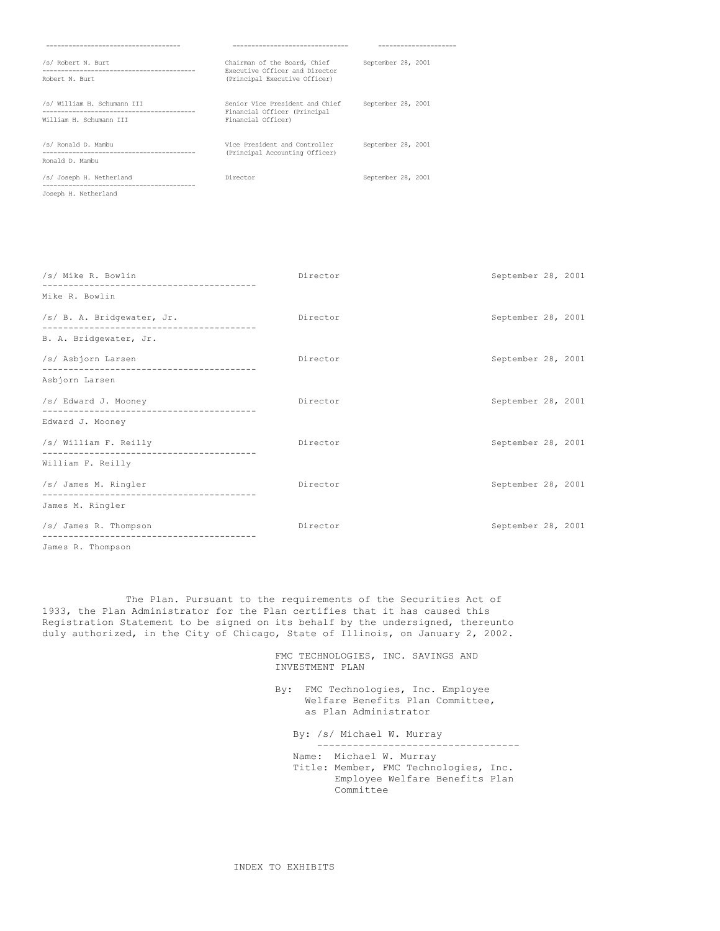| /s/ Robert N. Burt<br>Robert N. Burt                   | Chairman of the Board, Chief<br>Executive Officer and Director<br>(Principal Executive Officer) | September 28, 2001 |
|--------------------------------------------------------|-------------------------------------------------------------------------------------------------|--------------------|
| /s/ William H. Schumann III<br>William H. Schumann III | Senior Vice President and Chief<br>Financial Officer (Principal<br>Financial Officer)           | September 28, 2001 |
| /s/ Ronald D. Mambu<br>Ronald D. Mambu                 | Vice President and Controller<br>(Principal Accounting Officer)                                 | September 28, 2001 |
| /s/ Joseph H. Netherland                               | Director                                                                                        | September 28, 2001 |
| Joseph H. Netherland                                   |                                                                                                 |                    |

| /s/ Mike R. Bowlin         | Director | September 28, 2001 |
|----------------------------|----------|--------------------|
| Mike R. Bowlin             |          |                    |
| /s/ B. A. Bridgewater, Jr. | Director | September 28, 2001 |
| B. A. Bridgewater, Jr.     |          |                    |
| /s/ Asbjorn Larsen         | Director | September 28, 2001 |
| Asbjorn Larsen             |          |                    |
| /s/ Edward J. Mooney       | Director | September 28, 2001 |
| Edward J. Mooney           |          |                    |
| /s/ William F. Reilly      | Director | September 28, 2001 |
| William F. Reilly          |          |                    |
| /s/ James M. Ringler       | Director | September 28, 2001 |
| James M. Ringler           |          |                    |
| /s/ James R. Thompson      | Director | September 28, 2001 |
|                            |          |                    |

James R. Thompson

The Plan. Pursuant to the requirements of the Securities Act of 1933, the Plan Administrator for the Plan certifies that it has caused this Registration Statement to be signed on its behalf by the undersigned, thereunto duly authorized, in the City of Chicago, State of Illinois, on January 2, 2002.

> FMC TECHNOLOGIES, INC. SAVINGS AND INVESTMENT PLAN

By: FMC Technologies, Inc. Employee Welfare Benefits Plan Committee, as Plan Administrator

By: /s/ Michael W. Murray ----------------------------------

Name: Michael W. Murray Title: Member, FMC Technologies, Inc. Employee Welfare Benefits Plan Committee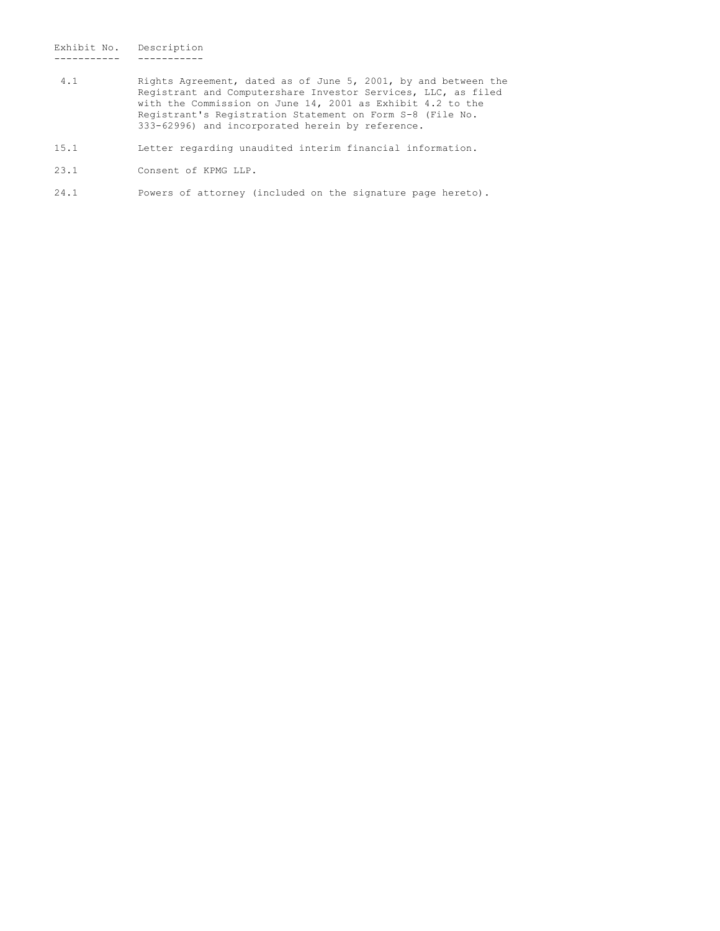Exhibit No. Description ----------- -----------

- 4.1 Rights Agreement, dated as of June 5, 2001, by and between the Registrant and Computershare Investor Services, LLC, as filed with the Commission on June 14, 2001 as Exhibit 4.2 to the Registrant's Registration Statement on Form S-8 (File No. 333-62996) and incorporated herein by reference.
- 15.1 Letter regarding unaudited interim financial information.
- 23.1 Consent of KPMG LLP.
- 24.1 Powers of attorney (included on the signature page hereto).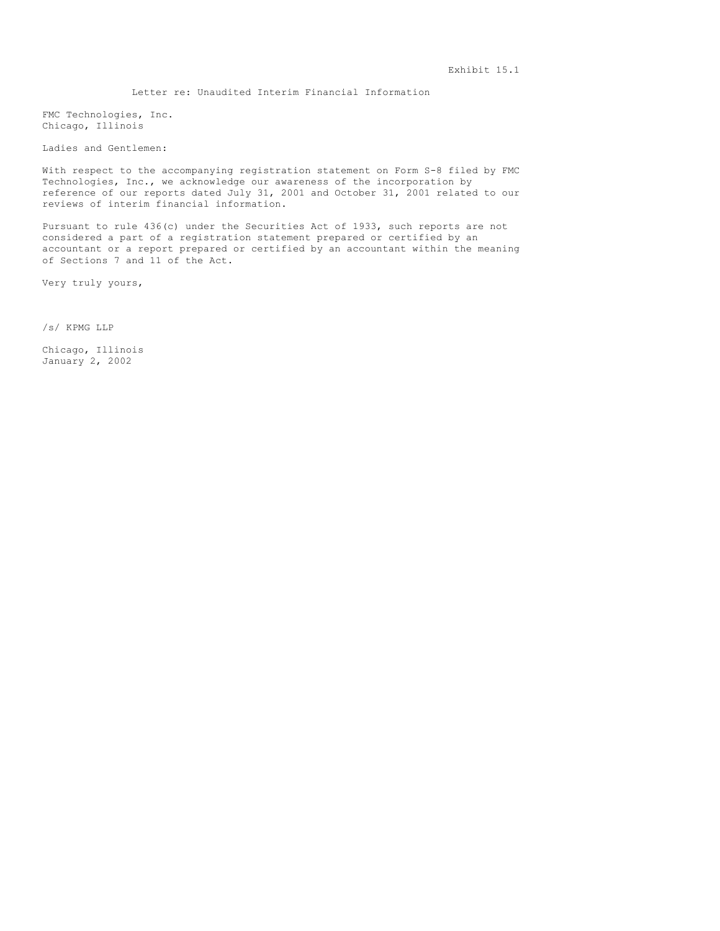Letter re: Unaudited Interim Financial Information

FMC Technologies, Inc. Chicago, Illinois

Ladies and Gentlemen:

With respect to the accompanying registration statement on Form S-8 filed by FMC Technologies, Inc., we acknowledge our awareness of the incorporation by reference of our reports dated July 31, 2001 and October 31, 2001 related to our reviews of interim financial information.

Pursuant to rule 436(c) under the Securities Act of 1933, such reports are not considered a part of a registration statement prepared or certified by an accountant or a report prepared or certified by an accountant within the meaning of Sections 7 and 11 of the Act.

Very truly yours,

/s/ KPMG LLP

Chicago, Illinois January 2, 2002